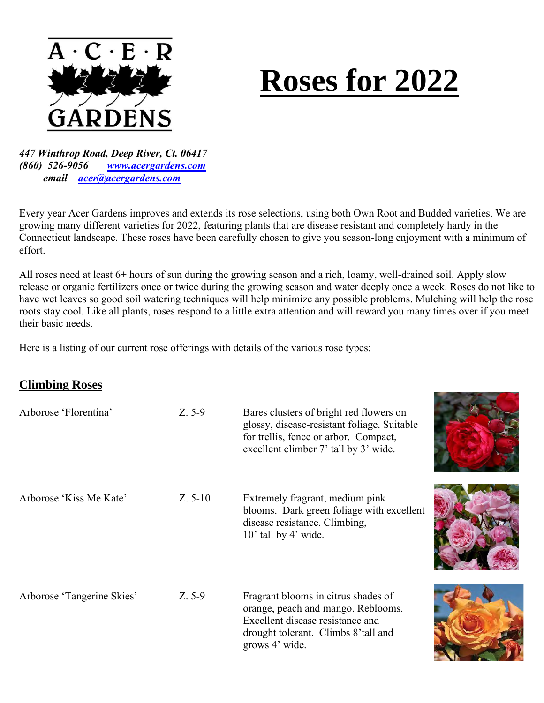

# **Roses for 2022**

*447 Winthrop Road, Deep River, Ct. 06417 (860) 526-9056 [www.acergardens.com](http://www.acergardens.com/) email – [acer@acergardens.com](mailto:acer@acergardens.com)*

Every year Acer Gardens improves and extends its rose selections, using both Own Root and Budded varieties. We are growing many different varieties for 2022, featuring plants that are disease resistant and completely hardy in the Connecticut landscape. These roses have been carefully chosen to give you season-long enjoyment with a minimum of effort.

All roses need at least 6+ hours of sun during the growing season and a rich, loamy, well-drained soil. Apply slow release or organic fertilizers once or twice during the growing season and water deeply once a week. Roses do not like to have wet leaves so good soil watering techniques will help minimize any possible problems. Mulching will help the rose roots stay cool. Like all plants, roses respond to a little extra attention and will reward you many times over if you meet their basic needs.

Here is a listing of our current rose offerings with details of the various rose types:

## **Climbing Roses**

| Arborose 'Florentina'      | $Z. 5-9$  | Bares clusters of bright red flowers on<br>glossy, disease-resistant foliage. Suitable<br>for trellis, fence or arbor. Compact,<br>excellent climber 7' tall by 3' wide. |  |
|----------------------------|-----------|--------------------------------------------------------------------------------------------------------------------------------------------------------------------------|--|
| Arborose 'Kiss Me Kate'    | $Z. 5-10$ | Extremely fragrant, medium pink<br>blooms. Dark green foliage with excellent<br>disease resistance. Climbing,<br>10' tall by 4' wide.                                    |  |
| Arborose 'Tangerine Skies' | $Z. 5-9$  | Fragrant blooms in citrus shades of<br>orange, peach and mango. Reblooms.<br>Excellent disease resistance and<br>drought tolerant. Climbs 8'tall and<br>grows 4' wide.   |  |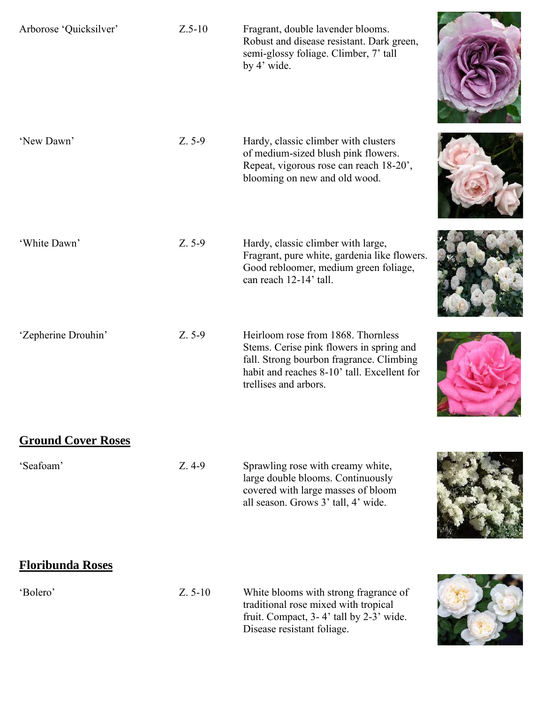| Arborose 'Quicksilver'    | $Z.5-10$  | Fragrant, double lavender blooms.<br>Robust and disease resistant. Dark green,<br>semi-glossy foliage. Climber, 7' tall<br>by 4' wide.                                                             |  |
|---------------------------|-----------|----------------------------------------------------------------------------------------------------------------------------------------------------------------------------------------------------|--|
| 'New Dawn'                | $Z. 5-9$  | Hardy, classic climber with clusters<br>of medium-sized blush pink flowers.<br>Repeat, vigorous rose can reach 18-20',<br>blooming on new and old wood.                                            |  |
| 'White Dawn'              | Z. 5-9    | Hardy, classic climber with large,<br>Fragrant, pure white, gardenia like flowers.<br>Good rebloomer, medium green foliage,<br>can reach 12-14' tall.                                              |  |
| 'Zepherine Drouhin'       | Z. 5-9    | Heirloom rose from 1868. Thornless<br>Stems. Cerise pink flowers in spring and<br>fall. Strong bourbon fragrance. Climbing<br>habit and reaches 8-10' tall. Excellent for<br>trellises and arbors. |  |
| <b>Ground Cover Roses</b> |           |                                                                                                                                                                                                    |  |
| 'Seafoam'                 | $Z.4-9$   | Sprawling rose with creamy white,<br>large double blooms. Continuously<br>covered with large masses of bloom<br>all season. Grows 3' tall, 4' wide.                                                |  |
| <b>Floribunda Roses</b>   |           |                                                                                                                                                                                                    |  |
| 'Bolero'                  | $Z. 5-10$ | White blooms with strong fragrance of<br>traditional rose mixed with tropical<br>fruit. Compact, 3-4' tall by 2-3' wide.<br>Disease resistant foliage.                                             |  |
|                           |           |                                                                                                                                                                                                    |  |

×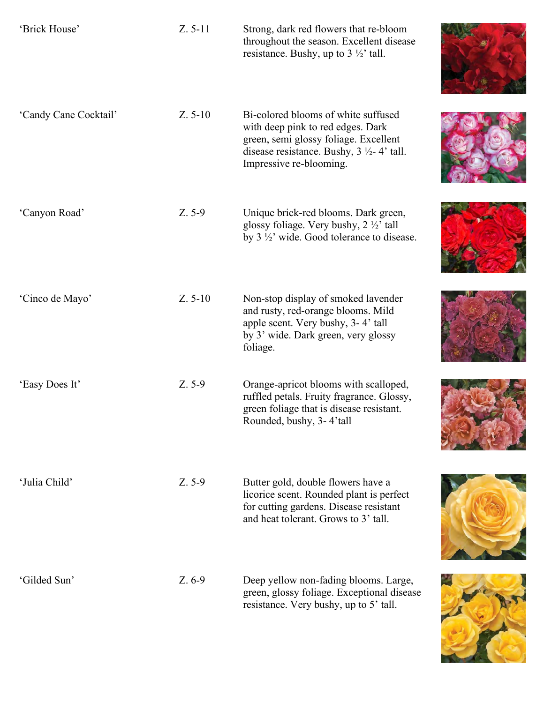| 'Brick House'         | $Z. 5-11$ | Strong, dark red flowers that re-bloom<br>throughout the season. Excellent disease<br>resistance. Bushy, up to $3\frac{1}{2}$ tall.                                                                   |  |
|-----------------------|-----------|-------------------------------------------------------------------------------------------------------------------------------------------------------------------------------------------------------|--|
| 'Candy Cane Cocktail' | $Z. 5-10$ | Bi-colored blooms of white suffused<br>with deep pink to red edges. Dark<br>green, semi glossy foliage. Excellent<br>disease resistance. Bushy, $3 \frac{1}{2}$ - 4' tall.<br>Impressive re-blooming. |  |
| 'Canyon Road'         | $Z. 5-9$  | Unique brick-red blooms. Dark green,<br>glossy foliage. Very bushy, $2 \frac{1}{2}$ tall<br>by $3\frac{1}{2}$ wide. Good tolerance to disease.                                                        |  |
| 'Cinco de Mayo'       | $Z. 5-10$ | Non-stop display of smoked lavender<br>and rusty, red-orange blooms. Mild<br>apple scent. Very bushy, 3-4' tall<br>by 3' wide. Dark green, very glossy<br>foliage.                                    |  |
| 'Easy Does It'        | $Z. 5-9$  | Orange-apricot blooms with scalloped,<br>ruffled petals. Fruity fragrance. Glossy,<br>green foliage that is disease resistant.<br>Rounded, bushy, 3-4'tall                                            |  |
| 'Julia Child'         | $Z. 5-9$  | Butter gold, double flowers have a<br>licorice scent. Rounded plant is perfect<br>for cutting gardens. Disease resistant<br>and heat tolerant. Grows to 3' tall.                                      |  |
| 'Gilded Sun'          | Z. 6-9    | Deep yellow non-fading blooms. Large,<br>green, glossy foliage. Exceptional disease<br>resistance. Very bushy, up to 5' tall.                                                                         |  |

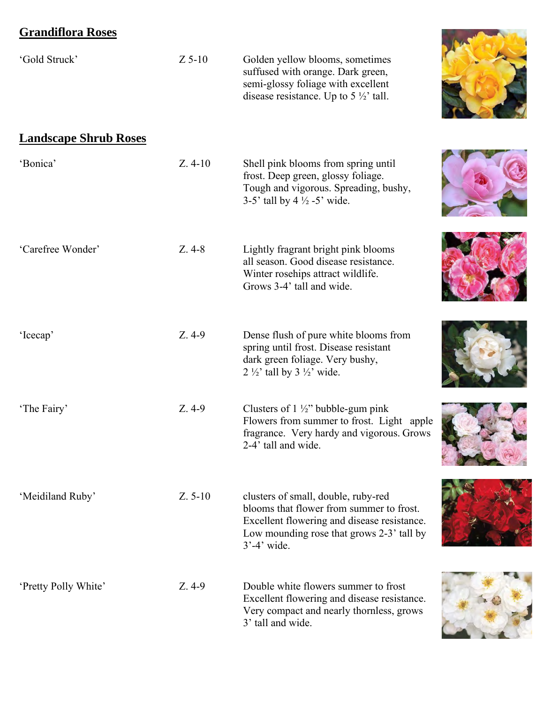# **Grandiflora Roses**

| 'Gold Struck'                | $Z$ 5-10  | Golden yellow blooms, sometimes<br>suffused with orange. Dark green,<br>semi-glossy foliage with excellent<br>disease resistance. Up to $5\frac{1}{2}$ tall.                                   |  |
|------------------------------|-----------|------------------------------------------------------------------------------------------------------------------------------------------------------------------------------------------------|--|
| <b>Landscape Shrub Roses</b> |           |                                                                                                                                                                                                |  |
| 'Bonica'                     | $Z.4-10$  | Shell pink blooms from spring until<br>frost. Deep green, glossy foliage.<br>Tough and vigorous. Spreading, bushy,<br>3-5' tall by 4 $\frac{1}{2}$ -5' wide.                                   |  |
| 'Carefree Wonder'            | $Z.4-8$   | Lightly fragrant bright pink blooms<br>all season. Good disease resistance.<br>Winter rosehips attract wildlife.<br>Grows 3-4' tall and wide.                                                  |  |
| 'Icecap'                     | $Z.4-9$   | Dense flush of pure white blooms from<br>spring until frost. Disease resistant<br>dark green foliage. Very bushy,<br>2 $\frac{1}{2}$ tall by 3 $\frac{1}{2}$ wide.                             |  |
| 'The Fairy'                  | $Z.4-9$   | Clusters of $1\frac{1}{2}$ " bubble-gum pink<br>Flowers from summer to frost. Light apple<br>fragrance. Very hardy and vigorous. Grows<br>2-4' tall and wide.                                  |  |
| 'Meidiland Ruby'             | $Z. 5-10$ | clusters of small, double, ruby-red<br>blooms that flower from summer to frost.<br>Excellent flowering and disease resistance.<br>Low mounding rose that grows 2-3' tall by<br>$3' - 4'$ wide. |  |
| 'Pretty Polly White'         | $Z.4-9$   | Double white flowers summer to frost<br>Excellent flowering and disease resistance.<br>Very compact and nearly thornless, grows<br>3' tall and wide.                                           |  |

**Commercial**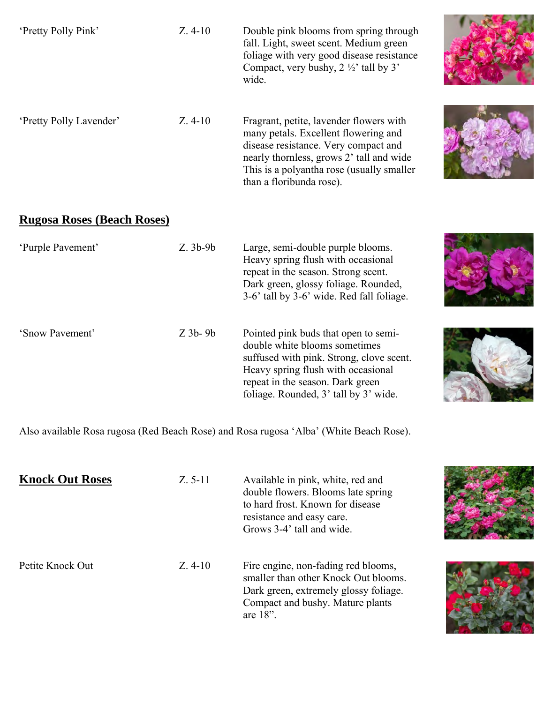| 'Pretty Polly Pink'     | $Z.4-10$ | Double pink blooms from spring through<br>fall. Light, sweet scent. Medium green<br>foliage with very good disease resistance<br>Compact, very bushy, $2 \frac{1}{2}$ tall by 3'<br>wide.                                                    |  |
|-------------------------|----------|----------------------------------------------------------------------------------------------------------------------------------------------------------------------------------------------------------------------------------------------|--|
| 'Pretty Polly Lavender' | $Z.4-10$ | Fragrant, petite, lavender flowers with<br>many petals. Excellent flowering and<br>disease resistance. Very compact and<br>nearly thornless, grows 2' tall and wide<br>This is a polyantha rose (usually smaller<br>than a floribunda rose). |  |
|                         |          |                                                                                                                                                                                                                                              |  |

## **Rugosa Roses (Beach Roses)**

| 'Purple Pavement' | $Z.3b-9b$ | Large, semi-double purple blooms.<br>Heavy spring flush with occasional<br>repeat in the season. Strong scent.<br>Dark green, glossy foliage. Rounded,<br>3-6' tall by 3-6' wide. Red fall foliage.                                  |
|-------------------|-----------|--------------------------------------------------------------------------------------------------------------------------------------------------------------------------------------------------------------------------------------|
| 'Snow Pavement'   | $Z$ 3b-9b | Pointed pink buds that open to semi-<br>double white blooms sometimes<br>suffused with pink. Strong, clove scent.<br>Heavy spring flush with occasional<br>repeat in the season. Dark green<br>foliage. Rounded, 3' tall by 3' wide. |

Also available Rosa rugosa (Red Beach Rose) and Rosa rugosa 'Alba' (White Beach Rose).

| <b>Knock Out Roses</b> | $Z. 5-11$ | Available in pink, white, red and<br>double flowers. Blooms late spring<br>to hard frost. Known for disease<br>resistance and easy care.<br>Grows 3-4' tall and wide.   |  |
|------------------------|-----------|-------------------------------------------------------------------------------------------------------------------------------------------------------------------------|--|
| Petite Knock Out       | $Z.4-10$  | Fire engine, non-fading red blooms,<br>smaller than other Knock Out blooms.<br>Dark green, extremely glossy foliage.<br>Compact and bushy. Mature plants<br>are $18$ ". |  |



æ